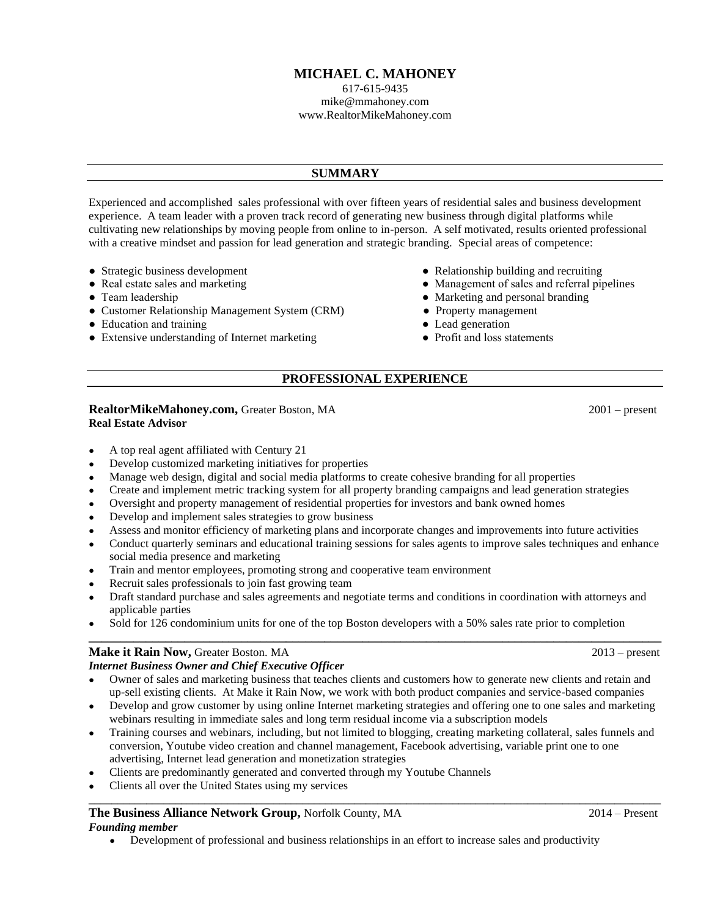# **MICHAEL C. MAHONEY**

617-615-9435 mike@mmahoney.com www.RealtorMikeMahoney.com

# **SUMMARY**

Experienced and accomplished sales professional with over fifteen years of residential sales and business development experience. A team leader with a proven track record of generating new business through digital platforms while cultivating new relationships by moving people from online to in-person. A self motivated, results oriented professional with a creative mindset and passion for lead generation and strategic branding. Special areas of competence:

- 
- 
- 
- Customer Relationship Management System (CRM) Property management
- 
- Education and training <br>• Extensive understanding of Internet marketing <br>• Profit and loss statements • Extensive understanding of Internet marketing
- Strategic business development Relationship building and recruiting
- Real estate sales and marketing extension and the matter of sales and referral pipelines
- Team leadership  **Team leadership and personal branding Marketing and personal branding** 
	-
	-
	-

# **PROFESSIONAL EXPERIENCE**

#### **RealtorMikeMahoney.com, Greater Boston, MA 2001** – present **Real Estate Advisor**

• A top real agent affiliated with Century 21

- Develop customized marketing initiatives for properties
- Manage web design, digital and social media platforms to create cohesive branding for all properties
- Create and implement metric tracking system for all property branding campaigns and lead generation strategies
- Oversight and property management of residential properties for investors and bank owned homes
- Develop and implement sales strategies to grow business
- Assess and monitor efficiency of marketing plans and incorporate changes and improvements into future activities
- Conduct quarterly seminars and educational training sessions for sales agents to improve sales techniques and enhance social media presence and marketing
- Train and mentor employees, promoting strong and cooperative team environment
- Recruit sales professionals to join fast growing team
- Draft standard purchase and sales agreements and negotiate terms and conditions in coordination with attorneys and applicable parties
- Sold for 126 condominium units for one of the top Boston developers with a 50% sales rate prior to completion

# **\_\_\_\_\_\_\_\_\_\_\_\_\_\_\_\_\_\_\_\_\_\_\_\_\_\_\_\_\_\_\_\_\_\_\_\_\_\_\_\_\_\_\_\_\_\_\_\_\_\_\_\_\_\_\_\_\_\_\_\_\_\_\_\_\_\_\_\_\_\_\_\_\_\_\_\_\_\_\_\_\_\_\_\_\_\_\_\_\_\_ Make it Rain Now, Greater Boston. MA** 2013 – present

*Internet Business Owner and Chief Executive Officer*

- Owner of sales and marketing business that teaches clients and customers how to generate new clients and retain and up-sell existing clients. At Make it Rain Now, we work with both product companies and service-based companies
- Develop and grow customer by using online Internet marketing strategies and offering one to one sales and marketing webinars resulting in immediate sales and long term residual income via a subscription models
- Training courses and webinars, including, but not limited to blogging, creating marketing collateral, sales funnels and conversion, Youtube video creation and channel management, Facebook advertising, variable print one to one advertising, Internet lead generation and monetization strategies

 $\_$  ,  $\_$  ,  $\_$  ,  $\_$  ,  $\_$  ,  $\_$  ,  $\_$  ,  $\_$  ,  $\_$  ,  $\_$  ,  $\_$  ,  $\_$  ,  $\_$  ,  $\_$  ,  $\_$  ,  $\_$  ,  $\_$  ,  $\_$  ,  $\_$  ,  $\_$  ,  $\_$  ,  $\_$  ,  $\_$  ,  $\_$  ,  $\_$  ,  $\_$  ,  $\_$  ,  $\_$  ,  $\_$  ,  $\_$  ,  $\_$  ,  $\_$  ,  $\_$  ,  $\_$  ,  $\_$  ,  $\_$  ,  $\_$  ,

- Clients are predominantly generated and converted through my Youtube Channels
- Clients all over the United States using my services

#### **The Business Alliance Network Group,** Norfolk County, MA2014 – Present *Founding member*

• Development of professional and business relationships in an effort to increase sales and productivity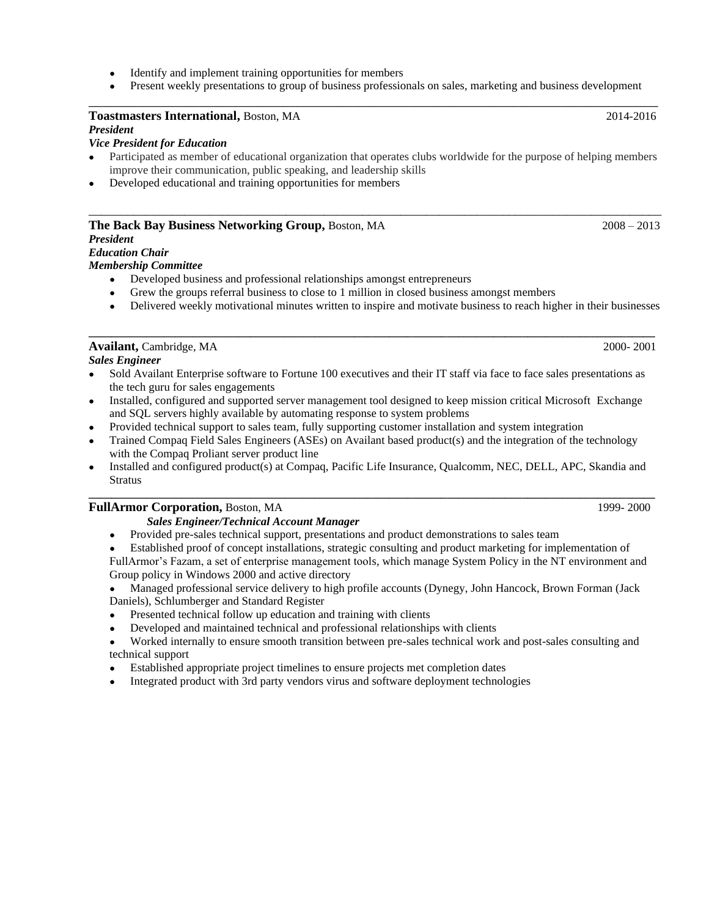- Identify and implement training opportunities for members
- Present weekly presentations to group of business professionals on sales, marketing and business development \_\_\_\_\_\_\_\_\_\_\_\_\_\_\_\_\_\_\_\_\_\_\_\_\_\_\_\_\_\_\_\_\_\_\_\_\_\_\_\_\_\_\_\_\_\_\_\_\_\_\_\_\_\_\_\_\_\_\_\_\_\_\_\_\_\_\_\_\_\_\_\_\_\_\_\_\_\_\_\_\_\_

#### **Toastmasters International,** Boston, MA 2014-2016 *President*

#### *Vice President for Education*

- Participated as member of educational organization that operates clubs worldwide for the purpose of helping members improve their communication, public speaking, and leadership skills
- Developed educational and training opportunities for members

#### **The Back Bay Business Networking Group,** Boston, MA2008 – 2013

#### *President*

#### *Education Chair*

#### *Membership Committee*

- Developed business and professional relationships amongst entrepreneurs
- Grew the groups referral business to close to 1 million in closed business amongst members
- Delivered weekly motivational minutes written to inspire and motivate business to reach higher in their businesses

# **Availant, Cambridge, MA** 2000- 2001

- *Sales Engineer*
- Sold Availant Enterprise software to Fortune 100 executives and their IT staff via face to face sales presentations as the tech guru for sales engagements

**\_\_\_\_\_\_\_\_\_\_\_\_\_\_\_\_\_\_\_\_\_\_\_\_\_\_\_\_\_\_\_\_\_\_\_\_\_\_\_\_\_\_\_\_\_\_\_\_\_\_\_\_\_\_\_\_\_\_\_\_\_\_\_\_\_\_\_\_\_\_\_\_\_\_\_\_\_\_\_\_\_\_\_\_\_\_\_\_\_\_\_\_\_\_\_\_\_\_**

- Installed, configured and supported server management tool designed to keep mission critical Microsoft Exchange and SQL servers highly available by automating response to system problems
- Provided technical support to sales team, fully supporting customer installation and system integration
- Trained Compaq Field Sales Engineers (ASEs) on Availant based product(s) and the integration of the technology with the Compaq Proliant server product line
- Installed and configured product(s) at Compaq, Pacific Life Insurance, Qualcomm, NEC, DELL, APC, Skandia and **Stratus \_\_\_\_\_\_\_\_\_\_\_\_\_\_\_\_\_\_\_\_\_\_\_\_\_\_\_\_\_\_\_\_\_\_\_\_\_\_\_\_\_\_\_\_\_\_\_\_\_\_\_\_\_\_\_\_\_\_\_\_\_\_\_\_\_\_\_\_\_\_\_\_\_\_\_\_\_\_\_\_\_\_\_\_\_\_\_\_\_\_\_\_\_\_\_\_\_\_**

#### **FullArmor Corporation, Boston, MA** 1999- 2000

#### *Sales Engineer/Technical Account Manager*

- Provided pre-sales technical support, presentations and product demonstrations to sales team
- Established proof of concept installations, strategic consulting and product marketing for implementation of FullArmor's Fazam, a set of enterprise management tools, which manage System Policy in the NT environment and Group policy in Windows 2000 and active directory
- Managed professional service delivery to high profile accounts (Dynegy, John Hancock, Brown Forman (Jack Daniels), Schlumberger and Standard Register
- Presented technical follow up education and training with clients
- Developed and maintained technical and professional relationships with clients
- Worked internally to ensure smooth transition between pre-sales technical work and post-sales consulting and technical support
- Established appropriate project timelines to ensure projects met completion dates
- Integrated product with 3rd party vendors virus and software deployment technologies

\_\_\_\_\_\_\_\_\_\_\_\_\_\_\_\_\_\_\_\_\_\_\_\_\_\_\_\_\_\_\_\_\_\_\_\_\_\_\_\_\_\_\_\_\_\_\_\_\_\_\_\_\_\_\_\_\_\_\_\_\_\_\_\_\_\_\_\_\_\_\_\_\_\_\_\_\_\_\_\_\_\_\_\_\_\_\_\_\_\_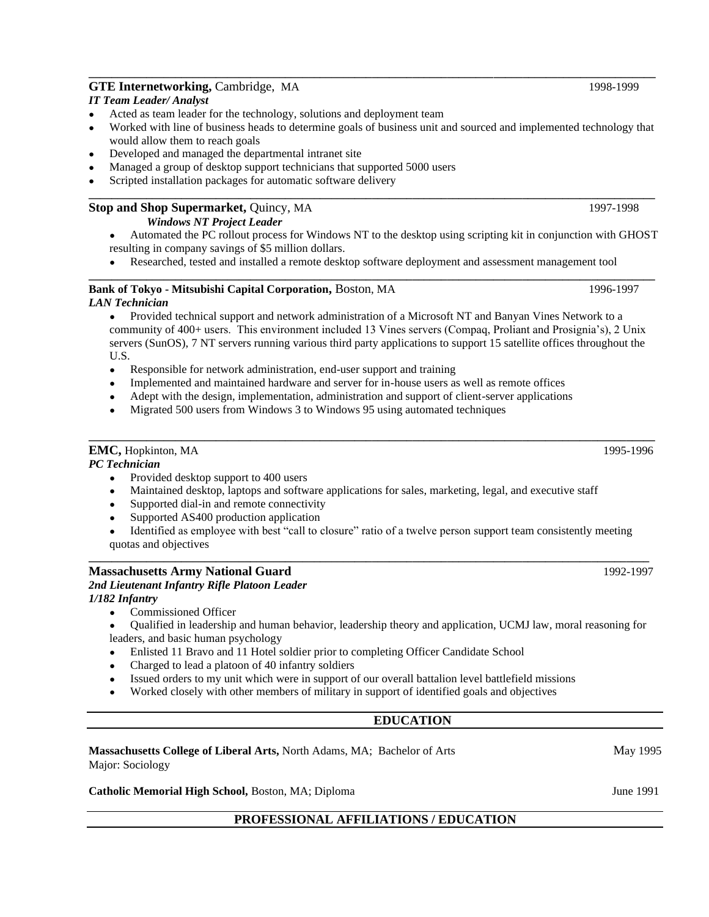# **GTE Internetworking, Cambridge, MA** 1998-1999

#### *IT Team Leader/ Analyst*

- Acted as team leader for the technology, solutions and deployment team
- Worked with line of business heads to determine goals of business unit and sourced and implemented technology that would allow them to reach goals

**\_\_\_\_\_\_\_\_\_\_\_\_\_\_\_\_\_\_\_\_\_\_\_\_\_\_\_\_\_\_\_\_\_\_\_\_\_\_\_\_\_\_\_\_\_\_\_\_\_\_\_\_\_\_\_\_\_\_\_\_\_\_\_\_\_\_\_\_\_\_\_\_\_\_\_\_\_\_\_\_\_\_\_\_\_\_\_\_\_\_\_\_\_\_\_\_\_\_**

**\_\_\_\_\_\_\_\_\_\_\_\_\_\_\_\_\_\_\_\_\_\_\_\_\_\_\_\_\_\_\_\_\_\_\_\_\_\_\_\_\_\_\_\_\_\_\_\_\_\_\_\_\_\_\_\_\_\_\_\_\_\_\_\_\_\_\_\_\_\_\_\_\_\_\_\_\_\_\_\_\_\_\_\_\_\_\_\_\_\_\_\_\_\_\_\_\_\_**

- Developed and managed the departmental intranet site
- Managed a group of desktop support technicians that supported 5000 users
- Scripted installation packages for automatic software delivery

# **Stop and Shop Supermarket, Quincy, MA 1997-1998**

- *Windows NT Project Leader*
- Automated the PC rollout process for Windows NT to the desktop using scripting kit in conjunction with GHOST resulting in company savings of \$5 million dollars.
- Researched, tested and installed a remote desktop software deployment and assessment management tool **\_\_\_\_\_\_\_\_\_\_\_\_\_\_\_\_\_\_\_\_\_\_\_\_\_\_\_\_\_\_\_\_\_\_\_\_\_\_\_\_\_\_\_\_\_\_\_\_\_\_\_\_\_\_\_\_\_\_\_\_\_\_\_\_\_\_\_\_\_\_\_\_\_\_\_\_\_\_\_\_\_\_\_\_\_\_\_\_\_\_\_\_\_\_\_\_\_\_**

#### **Bank of Tokyo - Mitsubishi Capital Corporation, Boston, MA 1996-1997** *LAN Technician*

Provided technical support and network administration of a Microsoft NT and Banyan Vines Network to a community of 400+ users. This environment included 13 Vines servers (Compaq, Proliant and Prosignia's), 2 Unix servers (SunOS), 7 NT servers running various third party applications to support 15 satellite offices throughout the U.S.

- Responsible for network administration, end-user support and training
- Implemented and maintained hardware and server for in-house users as well as remote offices
- Adept with the design, implementation, administration and support of client-server applications
- Migrated 500 users from Windows 3 to Windows 95 using automated techniques

#### **EMC,** Hopkinton, MA 1995-1996

#### *PC Technician*

- Provided desktop support to 400 users
- Maintained desktop, laptops and software applications for sales, marketing, legal, and executive staff
- Supported dial-in and remote connectivity
- Supported AS400 production application
- Identified as employee with best "call to closure" ratio of a twelve person support team consistently meeting quotas and objectives

#### **Massachusetts Army National Guard** 1992-1997 *2nd Lieutenant Infantry Rifle Platoon Leader*

### *1/182 Infantry*

- Commissioned Officer
- Qualified in leadership and human behavior, leadership theory and application, UCMJ law, moral reasoning for leaders, and basic human psychology
- Enlisted 11 Bravo and 11 Hotel soldier prior to completing Officer Candidate School
- Charged to lead a platoon of 40 infantry soldiers
- Issued orders to my unit which were in support of our overall battalion level battlefield missions
- Worked closely with other members of military in support of identified goals and objectives

# **EDUCATION**

#### **Massachusetts College of Liberal Arts,** North Adams, MA; Bachelor of Arts May 1995 Major: Sociology

#### **Catholic Memorial High School, Boston, MA; Diploma June 1991** June 1991

### **PROFESSIONAL AFFILIATIONS / EDUCATION**

**\_\_\_\_\_\_\_\_\_\_\_\_\_\_\_\_\_\_\_\_\_\_\_\_\_\_\_\_\_\_\_\_\_\_\_\_\_\_\_\_\_\_\_\_\_\_\_\_\_\_\_\_\_\_\_\_\_\_\_\_\_\_\_\_\_\_\_\_\_\_\_\_\_\_\_\_\_\_\_\_\_\_\_\_\_\_\_\_\_\_\_\_\_\_\_\_\_\_**

**\_\_\_\_\_\_\_\_\_\_\_\_\_\_\_\_\_\_\_\_\_\_\_\_\_\_\_\_\_\_\_\_\_\_\_\_\_\_\_\_\_\_\_\_\_\_\_\_\_\_\_\_\_\_\_\_\_\_\_\_\_\_\_\_\_\_\_\_\_\_\_\_\_\_\_\_\_\_\_\_\_\_\_\_\_\_\_\_\_\_\_\_\_\_\_\_\_**